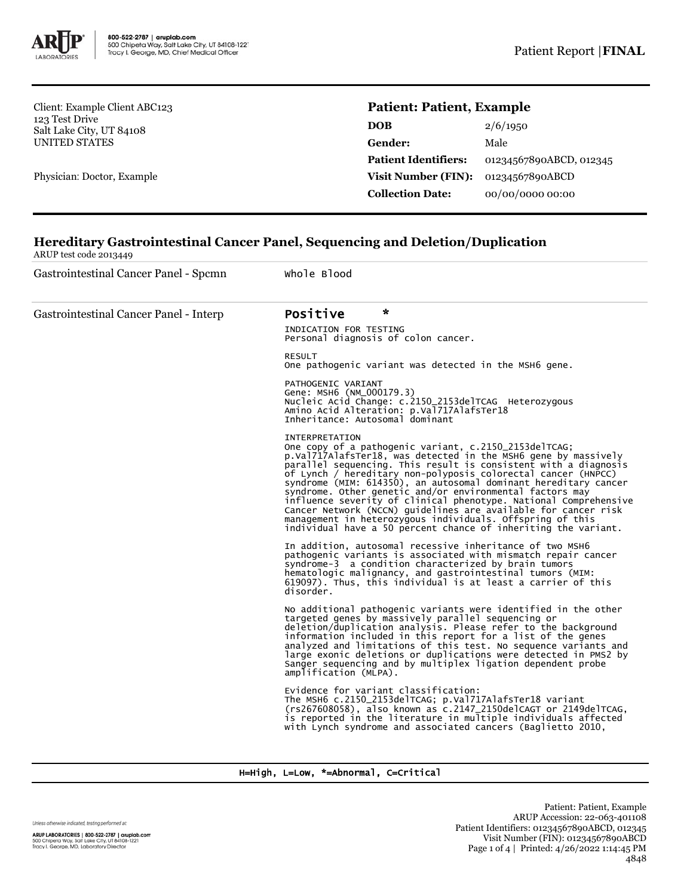

Client: Example Client ABC123 123 Test Drive Salt Lake City, UT 84108 UNITED STATES

Physician: Doctor, Example

## **Patient: Patient, Example**

| 2/6/1950<br><b>DOB</b>                                 |  |
|--------------------------------------------------------|--|
| Gender:<br>Male                                        |  |
| <b>Patient Identifiers:</b><br>01234567890ABCD, 012345 |  |
| <b>Visit Number (FIN):</b><br>01234567890ABCD          |  |
| <b>Collection Date:</b><br>00/00/0000 00:00            |  |

# **Hereditary Gastrointestinal Cancer Panel, Sequencing and Deletion/Duplication**

ARUP test code 2013449

Gastrointestinal Cancer Panel - Spcmn Whole Blood Gastrointestinal Cancer Panel - Interp **Positive** INDICATION FOR TESTING Personal diagnosis of colon cancer. RESULT One pathogenic variant was detected in the MSH6 gene. PATHOGENIC VARIANT Gene: MSH6 (NM\_000179.3) Nucleic Acid Change: c.2150\_2153delTCAG Heterozygous Amino Acid Alteration: p.Val717AlafsTer18 Inheritance: Autosomal dominant INTERPRETATION One copy of a pathogenic variant, c.2150\_2153delTCAG;<br>p.Val717AlafsTer18, was detected in the MSH6 gene by massively<br>parallel sequencing. This result is consistent with a diagnosis of Lynch / hereditary non-polyposis colorectal cancer (HNPCC) syndrome (MIM: 614350), an autosomal dominant hereditary cancer syndrome. Other genetic and/or environmental factors may influence severity of clinical phenotype. National Comprehensive Cancer Network (NCCN) guidelines are available for cancer risk management in heterozygous individuals. Offspring of this individual have a 50 percent chance of inheriting the variant. In addition, autosomal recessive inheritance of two MSH6 pathogenic variants is associated with mismatch repair cancer syndrome-3 a condition characterized by brain tumors hematologic malignancy, and gastrointestinal tumors (MIM: 619097). Thus, this individual is at least a carrier of this disorder. No additional pathogenic variants were identified in the other<br>targeted genes by massively parallel sequencing or<br>deletion/duplication analysis. Please refer to the background<br>information included in this report for a list analyzed and limitations of this test. No sequence variants and large exonic deletions or duplications were detected in PMS2 by Sanger sequencing and by multiplex ligation dependent probe amplification (MLPA). Evidence for variant classification: The MSH6 c.2150\_2153delTCAG; p.Val717AlafsTer18 variant (rs267608058), also known as c.2147\_2150delCAGT or 2149delTCAG, is reported in the literature in multiple individuals affected with Lynch syndrome and associated cancers (Baglietto 2010,

## H=High, L=Low, \*=Abnormal, C=Critical

Unless otherwise indicated, testing performed at:

ARUP LABORATORIES | 800-522-2787 | aruplab.com 500 Chipeta Way, Salt Lake City, UT 84108-1221<br>Tracy I. George, MD, Laboratory Director

Patient: Patient, Example ARUP Accession: 22-063-401108 Patient Identifiers: 01234567890ABCD, 012345 Visit Number (FIN): 01234567890ABCD Page 1 of 4 | Printed: 4/26/2022 1:14:45 PM 4848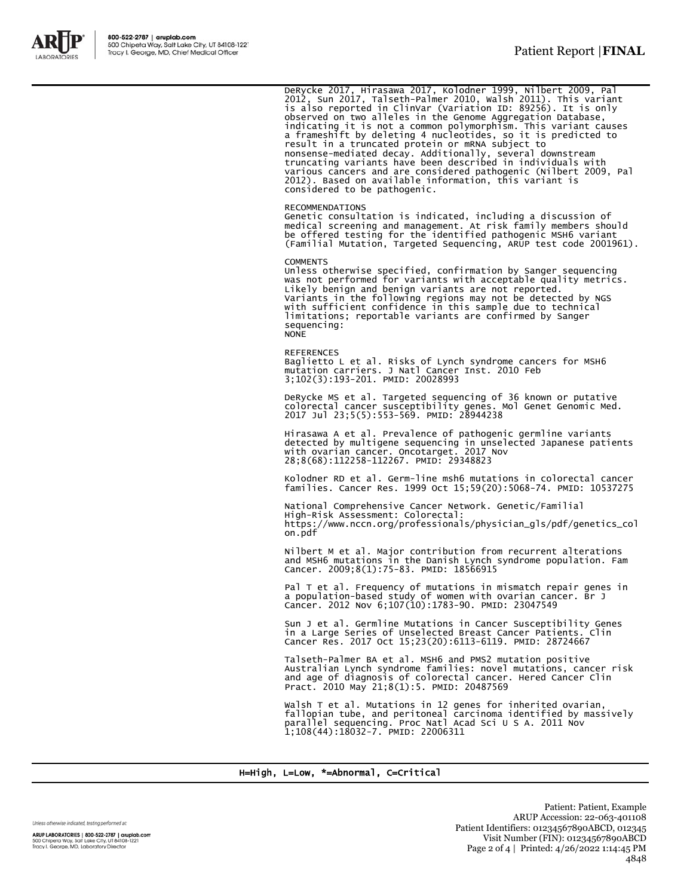

DeRycke 2017, Hirasawa 2017, Kolodner 1999, Nilbert 2009, Pal<br>2012, Sun 2017, Talseth-Palmer 2010, Walsh 2011). This variant<br>is also reported in ClinVar (Variation ID: 89256). It is only<br>observed on two alleles in the Geno indicating it is not a common polymorphism. This variant causes<br>a frameshift by deleting 4 nucleotides, so it is predicted to<br>result in a truncated protein or mRNA subject to<br>nonsense-mediated decay. Additionally, several various cancers and are considered pathogenic (Nilbert 2009, Pal 2012). Based on available information, this variant is considered to be pathogenic.

#### RECOMMENDATIONS

Genetic consultation is indicated, including a discussion of medical screening and management. At risk family members should be offered testing for the identified pathogenic MSH6 variant (Familial Mutation, Targeted Sequencing, ARUP test code 2001961).

#### **COMMENTS**

Unless otherwise specified, confirmation by Sanger sequencing was not performed for variants with acceptable quality metrics. Likely benign and benign variants are not reported. Variants in the following regions may not be detected by NGS with sufficient confidence in this sample due to technical limitations; reportable variants are confirmed by Sanger sequencing: **NONE** 

REFERENCES Baglietto L et al. Risks of Lynch syndrome cancers for MSH6 mutation carriers. J Natl Cancer Inst. 2010 Feb 3;102(3):193-201. PMID: 20028993

DeRycke MS et al. Targeted sequencing of 36 known or putative colorectal cancer susceptibility genes. Mol Genet Genomic Med. 2017 Jul 23;5(5):553-569. PMID: 28944238

Hirasawa A et al. Prevalence of pathogenic germline variants detected by multigene sequencing in unselected Japanese patients with ovarian cancer. Oncotarget. 2017 Nov 28;8(68):112258-112267. PMID: 29348823

Kolodner RD et al. Germ-line msh6 mutations in colorectal cancer families. Cancer Res. 1999 Oct 15;59(20):5068-74. PMID: 10537275

National Comprehensive Cancer Network. Genetic/Familial High-Risk Assessment: Colorectal: https://www.nccn.org/professionals/physician\_gls/pdf/genetics\_col on.pdf

Nilbert M et al. Major contribution from recurrent alterations and MSH6 mutations in the Danish Lynch syndrome population. Fam Cancer. 2009;8(1):75-83. PMID: 18566915

Pal T et al. Frequency of mutations in mismatch repair genes in a population-based study of women with ovarian cancer. Br J Cancer. 2012 Nov 6;107(10):1783-90. PMID: 23047549

Sun J et al. Germline Mutations in Cancer Susceptibility Genes in a Large Series of Unselected Breast Cancer Patients. Clin Cancer Res. 2017 Oct 15;23(20):6113-6119. PMID: 28724667

Talseth-Palmer BA et al. MSH6 and PMS2 mutation positive Australian Lynch syndrome families: novel mutations, cancer risk and age of diagnosis of colorectal cancer. Hered Cancer Clin Pract. 2010 May 21;8(1):5. PMID: 20487569

Walsh T et al. Mutations in 12 genes for inherited ovarian, fallopian tube, and peritoneal carcinoma identified by massively parallel sequencing. Proc Natl Acad Sci U S A. 2011 Nov 1;108(44):18032-7. PMID: 22006311

### H=High, L=Low, \*=Abnormal, C=Critical

Unless otherwise indicated, testing performed at:

ARUP LABORATORIES | 800-522-2787 | aruplab.com 500 Chipeta Way, Salt Lake City, UT 84108-1221<br>Tracy I. George, MD, Laboratory Director

Patient: Patient, Example ARUP Accession: 22-063-401108 Patient Identifiers: 01234567890ABCD, 012345 Visit Number (FIN): 01234567890ABCD Page 2 of 4 | Printed: 4/26/2022 1:14:45 PM 4848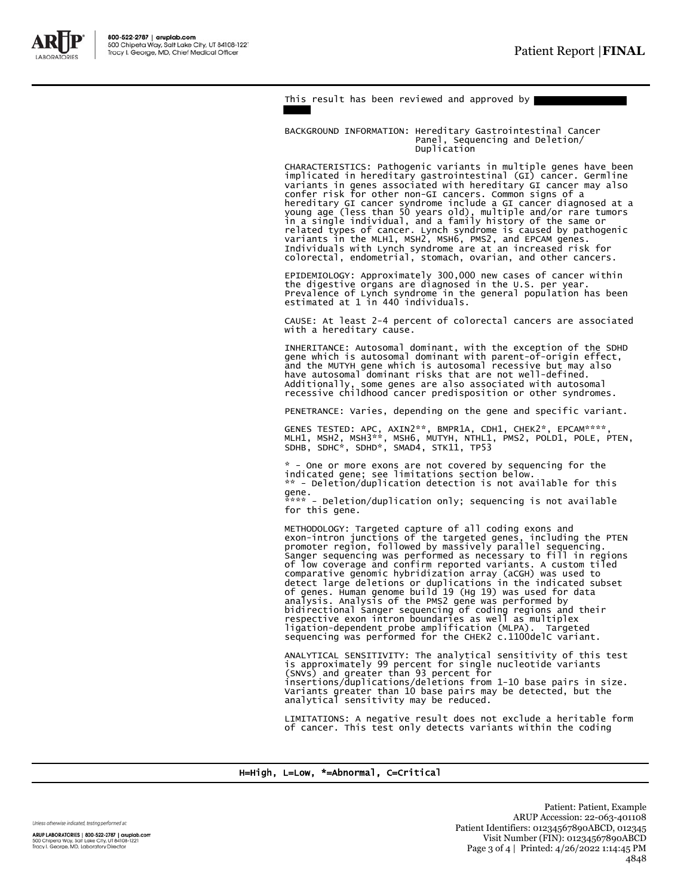

This result has been reviewed and approved by

BACKGROUND INFORMATION: Hereditary Gastrointestinal Cancer Panel, Sequencing and Deletion/ Duplication

CHARACTERISTICS: Pathogenic variants in multiple genes have been implicated in hereditary gastrointestinal (GI) cancer. Germline variants in genes associated with hereditary GI cancer may also confer risk for other non-GI cancers. Common signs of a hereditary GI cancer syndrome include a GI cancer diagnosed at a<br>young age (less than 50 years old), multiple and/or rare tumors<br>in a single individual, and a family history of the same or<br>related types of cancer. Lynch sy variants in the MLH1, MSH2, MSH6, PMS2, and EPCAM genes. Individuals with Lynch syndrome are at an increased risk for colorectal, endometrial, stomach, ovarian, and other cancers.

EPIDEMIOLOGY: Approximately 300,000 new cases of cancer within the digestive organs are diagnosed in the U.S. per year. Prevalence of Lynch syndrome in the general population has been estimated at 1 in 440 individuals.

CAUSE: At least 2-4 percent of colorectal cancers are associated with a hereditary cause.

INHERITANCE: Autosomal dominant, with the exception of the SDHD gene which is autosomal dominant with parent-of-origin effect, and the MUTYH gene which is autosomal recessive but may also have autosomal dominant risks that are not well-defined. Additionally, some genes are also associated with autosomal recessive childhood cancer predisposition or other syndromes.

PENETRANCE: Varies, depending on the gene and specific variant.

GENES TESTED: APC, AXIN2\*\*, BMPR1A, CDH1, CHEK2\*, EPCAM\*\*\*\*,<br>MLH1, MSH2, MSH3\*\*, MSH6, MUTYH, NTHL1, PMS2, POLD1, POLE, PTEN,<br>SDHB, SDHC\*, SDHD\*, SMAD4, STK11, TP53

\* - One or more exons are not covered by sequencing for the indicated gene; see limitations section below. \*\* - Deletion/duplication detection is not available for this gene.

\*\*\*\* - Deletion/duplication only; sequencing is not available for this gene.

METHODOLOGY: Targeted capture of all coding exons and exon-intron junctions of the targeted genes, including the PTEN promoter region, followed by massively parallel sequencing. Sanger sequencing was performed as necessary to fill in regions<br>of low coverage and confirm reported variants. A custom tiled<br>comparative genomic hybridization array (aCGH) was used to<br>detect large deletions or duplication bidirectional Sanger sequencing of coding regions and their<br>respective exon intron boundaries as well as multiplex<br>ligation-dependent probe amplification (MLPA). Targeted<br>sequencing was performed for the CHEK2 c.1100delC

ANALYTICAL SENSITIVITY: The analytical sensitivity of this test is approximately 99 percent for single nucleotide variants (SNVs) and greater than 93 percent for insertions/duplications/deletions from 1-10 base pairs in size. Variants greater than 10 base pairs may be detected, but the analytical sensitivity may be reduced.

LIMITATIONS: A negative result does not exclude a heritable form of cancer. This test only detects variants within the coding

H=High, L=Low, \*=Abnormal, C=Critical

Unless otherwise indicated, testing performed at: